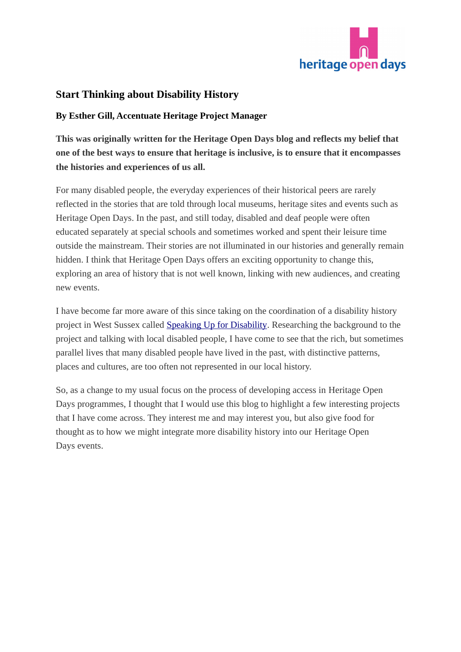

## **Start Thinking about Disability History**

## **By Esther Gill, Accentuate Heritage Project Manager**

**This was originally written for the Heritage Open Days blog and reflects my belief that one of the best ways to ensure that heritage is inclusive, is to ensure that it encompasses the histories and experiences of us all.** 

For many disabled people, the everyday experiences of their historical peers are rarely reflected in the stories that are told through local museums, heritage sites and events such as Heritage Open Days. In the past, and still today, disabled and deaf people were often educated separately at special schools and sometimes worked and spent their leisure time outside the mainstream. Their stories are not illuminated in our histories and generally remain hidden. I think that Heritage Open Days offers an exciting opportunity to change this, exploring an area of history that is not well known, linking with new audiences, and creating new events.

I have become far more aware of this since taking on the coordination of a disability history project in West Sussex called [Speaking Up for Disability.](http://www.voicefordisability.org.uk/page_id__96_path__0p4p26p.aspx) Researching the background to the project and talking with local disabled people, I have come to see that the rich, but sometimes parallel lives that many disabled people have lived in the past, with distinctive patterns, places and cultures, are too often not represented in our local history.

So, as a change to my usual focus on the process of developing access in Heritage Open Days programmes, I thought that I would use this blog to highlight a few interesting projects that I have come across. They interest me and may interest you, but also give food for thought as to how we might integrate more disability history into our Heritage Open Days events.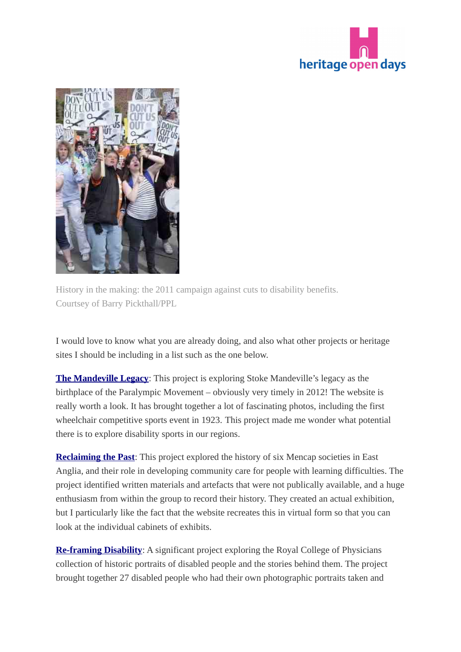



History in the making: the 2011 campaign against cuts to disability benefits. Courtsey of Barry Pickthall/PPL

I would love to know what you are already doing, and also what other projects or heritage sites I should be including in a list such as the one below.

**[The Mandeville Legacy](http://mandevillelegacy.org.uk/)**: This project is exploring Stoke Mandeville's legacy as the birthplace of the Paralympic Movement – obviously very timely in 2012! The website is really worth a look. It has brought together a lot of fascinating photos, including the first wheelchair competitive sports event in 1923. This project made me wonder what potential there is to explore disability sports in our regions.

**[Reclaiming the Past](http://reclaimingthepast.org.uk/)**: This project explored the history of six Mencap societies in East Anglia, and their role in developing community care for people with learning difficulties. The project identified written materials and artefacts that were not publically available, and a huge enthusiasm from within the group to record their history. They created an actual exhibition, but I particularly like the fact that the website recreates this in virtual form so that you can look at the individual cabinets of exhibits.

**[Re-framing Disability](http://www.rcplondon.ac.uk/museum-and-garden/whats/re-framing-disability)**: A significant project exploring the Royal College of Physicians collection of historic portraits of disabled people and the stories behind them. The project brought together 27 disabled people who had their own photographic portraits taken and